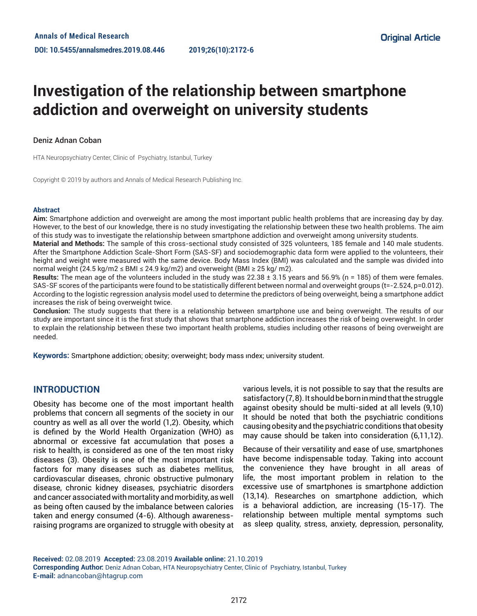# **Investigation of the relationship between smartphone addiction and overweight on university students**

#### Deniz Adnan Coban

HTA Neuropsychiatry Center, Clinic of Psychiatry, Istanbul, Turkey

Copyright © 2019 by authors and Annals of Medical Research Publishing Inc.

#### **Abstract**

**Aim:** Smartphone addiction and overweight are among the most important public health problems that are increasing day by day. However, to the best of our knowledge, there is no study investigating the relationship between these two health problems. The aim of this study was to investigate the relationship between smartphone addiction and overweight among university students.

**Material and Methods:** The sample of this cross-sectional study consisted of 325 volunteers, 185 female and 140 male students. After the Smartphone Addiction Scale-Short Form (SAS-SF) and sociodemographic data form were applied to the volunteers, their height and weight were measured with the same device. Body Mass Index (BMI) was calculated and the sample was divided into normal weight (24.5 kg/m2 ≤ BMI ≤ 24.9 kg/m2) and overweight (BMI ≥ 25 kg/m2).

**Results:** The mean age of the volunteers included in the study was 22.38 ± 3.15 years and 56.9% (n = 185) of them were females. SAS-SF scores of the participants were found to be statistically different between normal and overweight groups (t=-2.524, p=0.012). According to the logistic regression analysis model used to determine the predictors of being overweight, being a smartphone addict increases the risk of being overweight twice.

**Conclusion:** The study suggests that there is a relationship between smartphone use and being overweight. The results of our study are important since it is the first study that shows that smartphone addiction increases the risk of being overweight. In order to explain the relationship between these two important health problems, studies including other reasons of being overweight are needed.

**Keywords:** Smartphone addiction; obesity; overweight; body mass ındex; university student.

## **INTRODUCTION**

Obesity has become one of the most important health problems that concern all segments of the society in our country as well as all over the world (1,2). Obesity, which is defined by the World Health Organization (WHO) as abnormal or excessive fat accumulation that poses a risk to health, is considered as one of the ten most risky diseases (3). Obesity is one of the most important risk factors for many diseases such as diabetes mellitus, cardiovascular diseases, chronic obstructive pulmonary disease, chronic kidney diseases, psychiatric disorders and cancer associated with mortality and morbidity, as well as being often caused by the imbalance between calories taken and energy consumed (4-6). Although awarenessraising programs are organized to struggle with obesity at various levels, it is not possible to say that the results are satisfactory (7, 8). It should be born in mind that the struggle against obesity should be multi-sided at all levels (9,10) It should be noted that both the psychiatric conditions causing obesity and the psychiatric conditions that obesity may cause should be taken into consideration (6,11,12).

Because of their versatility and ease of use, smartphones have become indispensable today. Taking into account the convenience they have brought in all areas of life, the most important problem in relation to the excessive use of smartphones is smartphone addiction (13,14). Researches on smartphone addiction, which is a behavioral addiction, are increasing (15-17). The relationship between multiple mental symptoms such as sleep quality, stress, anxiety, depression, personality,

**Received:** 02.08.2019 **Accepted:** 23.08.2019 **Available online:** 21.10.2019 **Corresponding Author:** Deniz Adnan Coban, HTA Neuropsychiatry Center, Clinic of Psychiatry, Istanbul, Turkey **E-mail:** adnancoban@htagrup.com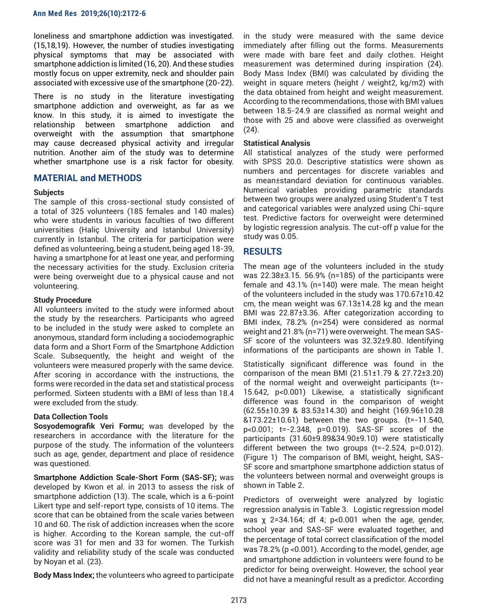loneliness and smartphone addiction was investigated. (15,18,19). However, the number of studies investigating physical symptoms that may be associated with smartphone addiction is limited (16, 20). And these studies mostly focus on upper extremity, neck and shoulder pain associated with excessive use of the smartphone (20-22).

There is no study in the literature investigating smartphone addiction and overweight, as far as we know. In this study, it is aimed to investigate the relationship between smartphone addiction and overweight with the assumption that smartphone may cause decreased physical activity and irregular nutrition. Another aim of the study was to determine whether smartphone use is a risk factor for obesity.

## **MATERIAL and METHODS**

#### **Subjects**

The sample of this cross-sectional study consisted of a total of 325 volunteers (185 females and 140 males) who were students in various faculties of two different universities (Haliç University and Istanbul University) currently in Istanbul. The criteria for participation were defined as volunteering, being a student, being aged 18-39, having a smartphone for at least one year, and performing the necessary activities for the study. Exclusion criteria were being overweight due to a physical cause and not volunteering.

#### **Study Procedure**

All volunteers invited to the study were informed about the study by the researchers. Participants who agreed to be included in the study were asked to complete an anonymous, standard form including a sociodemographic data form and a Short Form of the Smartphone Addiction Scale. Subsequently, the height and weight of the volunteers were measured properly with the same device. After scoring in accordance with the instructions, the forms were recorded in the data set and statistical process performed. Sixteen students with a BMI of less than 18.4 were excluded from the study.

#### **Data Collection Tools**

**Sosyodemografik Veri Formu;** was developed by the researchers in accordance with the literature for the purpose of the study. The information of the volunteers such as age, gender, department and place of residence was questioned.

**Smartphone Addiction Scale-Short Form (SAS-SF);** was developed by Kwon et al. in 2013 to assess the risk of smartphone addiction (13). The scale, which is a 6-point Likert type and self-report type, consists of 10 items. The score that can be obtained from the scale varies between 10 and 60. The risk of addiction increases when the score is higher. According to the Korean sample, the cut-off score was 31 for men and 33 for women. The Turkish validity and reliability study of the scale was conducted by Noyan et al. (23).

**Body Mass Index;** the volunteers who agreed to participate

in the study were measured with the same device immediately after filling out the forms. Measurements were made with bare feet and daily clothes. Height measurement was determined during inspiration (24). Body Mass Index (BMI) was calculated by dividing the weight in square meters (height / weight2, kg/m2) with the data obtained from height and weight measurement. According to the recommendations, those with BMI values between 18.5-24.9 are classified as normal weight and those with 25 and above were classified as overweight (24).

#### **Statistical Analysis**

All statistical analyzes of the study were performed with SPSS 20.0. Descriptive statistics were shown as numbers and percentages for discrete variables and as mean±standard deviation for continuous variables. Numerical variables providing parametric standards between two groups were analyzed using Student's T test and categorical variables were analyzed using Chi-squre test. Predictive factors for overweight were determined by logistic regression analysis. The cut-off p value for the study was 0.05.

# **RESULTS**

The mean age of the volunteers included in the study was 22.38±3.15. 56.9% (n=185) of the participants were female and 43.1% (n=140) were male. The mean height of the volunteers included in the study was 170.67±10.42 cm, the mean weight was 67.13±14.28 kg and the mean BMI was 22.87±3.36. After categorization according to BMI index, 78.2% (n=254) were considered as normal weight and 21.8% (n=71) were overweight. The mean SAS-SF score of the volunteers was 32.32±9.80. Identifying informations of the participants are shown in Table 1.

Statistically significant difference was found in the comparison of the mean BMI  $(21.51 \pm 1.79 \& 27.72 \pm 3.20)$ of the normal weight and overweight participants (t=- 15.642, p<0.001) Likewise, a statistically significant difference was found in the comparison of weight (62.55±10.39 & 83.53±14.30) and height (169.96±10.28 &173.22±10.61) between the two groups. (t=-11.540, p<0.001; t=-2.348, p=0.019). SAS-SF scores of the participants (31.60±9.89&34.90±9.10) were statistically different between the two groups (t=-2.524, p=0.012). (Figure 1) The comparison of BMI, weight, height, SAS-SF score and smartphone smartphone addiction status of the volunteers between normal and overweight groups is shown in Table 2.

Predictors of overweight were analyzed by logistic regression analysis in Table 3. Logistic regression model was χ 2=34.164; df 4; p<0.001 when the age, gender, school year and SAS-SF were evaluated together, and the percentage of total correct classification of the model was 78.2% (p <0.001). According to the model, gender, age and smartphone addiction in volunteers were found to be predictor for being overweight. However, the school year did not have a meaningful result as a predictor. According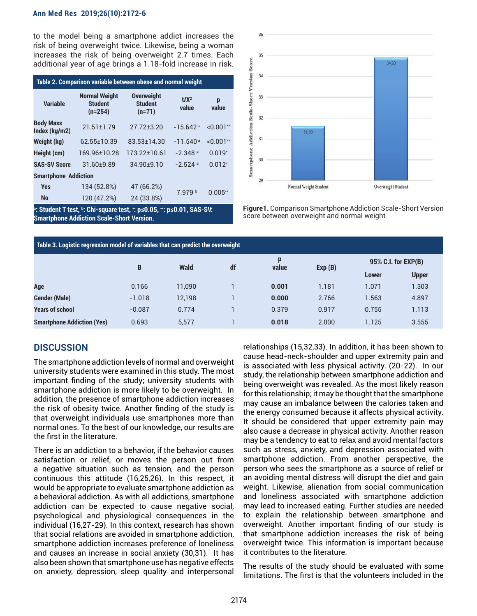#### **Ann Med Res 2019;26(10):2172-6**

to the model being a smartphone addict increases the risk of being overweight twice. Likewise, being a woman increases the risk of being overweight 2.7 times. Each additional year of age brings a 1.18-fold increase in risk.

| Table 2. Comparison variable between obese and normal weight |                                                     |                                                 |                        |              |  |  |  |  |  |  |
|--------------------------------------------------------------|-----------------------------------------------------|-------------------------------------------------|------------------------|--------------|--|--|--|--|--|--|
| <b>Variable</b>                                              | <b>Normal Weight</b><br><b>Student</b><br>$(n=254)$ | <b>Overweight</b><br><b>Student</b><br>$(n=71)$ | $t/X^2$<br>value       | p<br>value   |  |  |  |  |  |  |
| <b>Body Mass</b><br>Index (kg/m2)                            | $21.51 \pm 1.79$                                    | $27.72 + 3.20$                                  | $-15.642$ <sup>a</sup> | $< 0.001$ ** |  |  |  |  |  |  |
| Weight (kg)                                                  | 62.55+10.39                                         | 83.53+14.30                                     | $-11.540a$             | $< 0.001$ ** |  |  |  |  |  |  |
| Height (cm)                                                  | 169.96±10.28                                        | 173.22+10.61                                    | $-2.348$ a             | $0.019*$     |  |  |  |  |  |  |
| <b>SAS-SV Score</b>                                          | $31.60+9.89$                                        | $3490+910$                                      | $-2.524$ <sup>a</sup>  | $0.012*$     |  |  |  |  |  |  |
| <b>Smartphone Addiction</b>                                  |                                                     |                                                 |                        |              |  |  |  |  |  |  |
| <b>Yes</b>                                                   | 134 (52.8%)                                         | 47 (66.2%)                                      | 7.979 b                | 0.005"       |  |  |  |  |  |  |
| <b>No</b>                                                    | 120 (47.2%)                                         | 24 (33.8%)                                      |                        |              |  |  |  |  |  |  |

**a : Student T test, b : Chi-square test, \* : p≤0.05, \*\*: p≤0.01, SAS-SV: Smartphone Addiction Scale-Short Version.**



**Figure1.** Comparison Smartphone Addiction Scale-Short Version score between overweight and normal weight

| Table 3. Logistic regression model of variables that can predict the overweight |          |        |    |            |        |                     |              |  |  |  |
|---------------------------------------------------------------------------------|----------|--------|----|------------|--------|---------------------|--------------|--|--|--|
|                                                                                 | B        | Wald   | df | p<br>value | Exp(B) | 95% C.I. for EXP(B) |              |  |  |  |
|                                                                                 |          |        |    |            |        | Lower               | <b>Upper</b> |  |  |  |
| Age                                                                             | 0.166    | 11.090 |    | 0.001      | 1.181  | 1.071               | 1.303        |  |  |  |
| <b>Gender (Male)</b>                                                            | $-1.018$ | 12,198 |    | 0.000      | 2.766  | 1.563               | 4.897        |  |  |  |
| <b>Years of school</b>                                                          | $-0.087$ | 0.774  |    | 0.379      | 0.917  | 0.755               | 1.113        |  |  |  |
| <b>Smartphone Addiction (Yes)</b>                                               | 0.693    | 5.577  |    | 0.018      | 2.000  | 1.125               | 3.555        |  |  |  |

# **DISCUSSION**

The smartphone addiction levels of normal and overweight university students were examined in this study. The most important finding of the study; university students with smartphone addiction is more likely to be overweight. In addition, the presence of smartphone addiction increases the risk of obesity twice. Another finding of the study is that overweight individuals use smartphones more than normal ones. To the best of our knowledge, our results are the first in the literature.

There is an addiction to a behavior, if the behavior causes satisfaction or relief, or moves the person out from a negative situation such as tension, and the person continuous this attitude (16,25,26). In this respect, it would be appropriate to evaluate smartphone addiction as a behavioral addiction. As with all addictions, smartphone addiction can be expected to cause negative social, psychological and physiological consequences in the individual (16,27-29). In this context, research has shown that social relations are avoided in smartphone addiction, smartphone addiction increases preference of loneliness and causes an increase in social anxiety (30,31). It has also been shown that smartphone use has negative effects on anxiety, depression, sleep quality and interpersonal

relationships (15,32,33). In addition, it has been shown to cause head-neck-shoulder and upper extremity pain and is associated with less physical activity. (20-22). In our study, the relationship between smartphone addiction and being overweight was revealed. As the most likely reason for this relationship; it may be thought that the smartphone may cause an imbalance between the calories taken and the energy consumed because it affects physical activity. It should be considered that upper extremity pain may also cause a decrease in physical activity. Another reason may be a tendency to eat to relax and avoid mental factors such as stress, anxiety, and depression associated with smartphone addiction. From another perspective, the person who sees the smartphone as a source of relief or an avoiding mental distress will disrupt the diet and gain weight. Likewise, alienation from social communication and loneliness associated with smartphone addiction may lead to increased eating. Further studies are needed to explain the relationship between smartphone and overweight. Another important finding of our study is that smartphone addiction increases the risk of being overweight twice. This information is important because it contributes to the literature.

The results of the study should be evaluated with some limitations. The first is that the volunteers included in the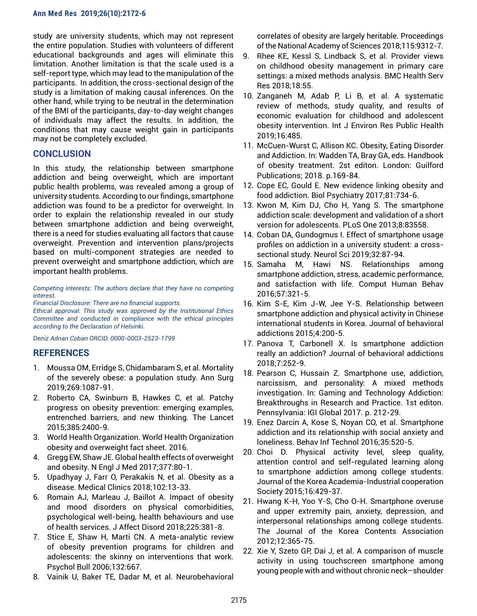#### **Ann Med Res 2019;26(10):2172-6**

study are university students, which may not represent the entire population. Studies with volunteers of different educational backgrounds and ages will eliminate this limitation. Another limitation is that the scale used is a self-report type, which may lead to the manipulation of the participants. In addition, the cross-sectional design of the study is a limitation of making causal inferences. On the other hand, while trying to be neutral in the determination of the BMI of the participants, day-to-day weight changes of individuals may affect the results. In addition, the conditions that may cause weight gain in participants may not be completely excluded.

## **CONCLUSION**

In this study, the relationship between smartphone addiction and being overweight, which are important public health problems, was revealed among a group of university students. According to our findings, smartphone addiction was found to be a predictor for overweight. In order to explain the relationship revealed in our study between smartphone addiction and being overweight, there is a need for studies evaluating all factors that cause overweight. Prevention and intervention plans/projects based on multi-component strategies are needed to prevent overweight and smartphone addiction, which are important health problems.

*Competing interests: The authors declare that they have no competing interest.* 

*Financial Disclosure: There are no financial supports.*

*Ethical approval: This study was approved by the Institutional Ethics Committee and conducted in compliance with the ethical principles according to the Declaration of Helsinki.* 

*Deniz Adnan Coban ORCID: 0000-0003-2523-1799*

## **REFERENCES**

- 1. Moussa OM, Erridge S, Chidambaram S, et al. Mortality of the severely obese: a population study. Ann Surg 2019;269:1087-91.
- 2. Roberto CA, Swinburn B, Hawkes C, et al. Patchy progress on obesity prevention: emerging examples, entrenched barriers, and new thinking. The Lancet 2015;385:2400-9.
- 3. World Health Organization. World Health Organization obesity and overweight fact sheet. 2016.
- 4. Gregg EW, Shaw JE. Global health effects of overweight and obesity. N Engl J Med 2017;377:80-1.
- 5. Upadhyay J, Farr O, Perakakis N, et al. Obesity as a disease. Medical Clinics 2018;102:13-33.
- 6. Romain AJ, Marleau J, Baillot A. Impact of obesity and mood disorders on physical comorbidities, psychological well-being, health behaviours and use of health services. J Affect Disord 2018;225:381-8.
- 7. Stice E, Shaw H, Marti CN. A meta-analytic review of obesity prevention programs for children and adolescents: the skinny on interventions that work. Psychol Bull 2006;132:667.
- 8. Vainik U, Baker TE, Dadar M, et al. Neurobehavioral

correlates of obesity are largely heritable. Proceedings of the National Academy of Sciences 2018;115:9312-7.

- 9. Rhee KE, Kessl S, Lindback S, et al. Provider views on childhood obesity management in primary care settings: a mixed methods analysis. BMC Health Serv Res 2018;18:55.
- 10. Zanganeh M, Adab P, Li B, et al. A systematic review of methods, study quality, and results of economic evaluation for childhood and adolescent obesity intervention. Int J Environ Res Public Health 2019;16:485.
- 11. McCuen-Wurst C, Allison KC. Obesity, Eating Disorder and Addiction. In: Wadden TA, Bray GA, eds. Handbook of obesity treatment. 2st editon. London: Guilford Publications; 2018. p.169-84.
- 12. Cope EC, Gould E. New evidence linking obesity and food addiction. Biol Psychiatry 2017;81:734-6.
- 13. Kwon M, Kim DJ, Cho H, Yang S. The smartphone addiction scale: development and validation of a short version for adolescents. PLoS One 2013;8:83558.
- 14. Coban DA, Gundogmus I. Effect of smartphone usage profiles on addiction in a university student: a crosssectional study. Neurol Sci 2019;32:87-94.
- 15. Samaha M, Hawi NS. Relationships among smartphone addiction, stress, academic performance, and satisfaction with life. Comput Human Behav 2016;57:321-5.
- 16. Kim S-E, Kim J-W, Jee Y-S. Relationship between smartphone addiction and physical activity in Chinese international students in Korea. Journal of behavioral addictions 2015;4:200-5.
- 17. Panova T, Carbonell X. Is smartphone addiction really an addiction? Journal of behavioral addictions 2018;7:252-9.
- 18. Pearson C, Hussain Z. Smartphone use, addiction, narcissism, and personality: A mixed methods investigation. In: Gaming and Technology Addiction: Breakthroughs in Research and Practice. 1st editon. Pennsylvania: IGI Global 2017. p. 212-29.
- 19. Enez Darcin A, Kose S, Noyan CO, et al. Smartphone addiction and its relationship with social anxiety and loneliness. Behav Inf Technol 2016;35:520-5.
- 20. Choi D. Physical activity level, sleep quality, attention control and self-regulated learning along to smartphone addiction among college students. Journal of the Korea Academia-Industrial cooperation Society 2015;16:429-37.
- 21. Hwang K-H, Yoo Y-S, Cho O-H. Smartphone overuse and upper extremity pain, anxiety, depression, and interpersonal relationships among college students. The Journal of the Korea Contents Association 2012;12:365-75.
- 22. Xie Y, Szeto GP, Dai J, et al. A comparison of muscle activity in using touchscreen smartphone among young people with and without chronic neck–shoulder